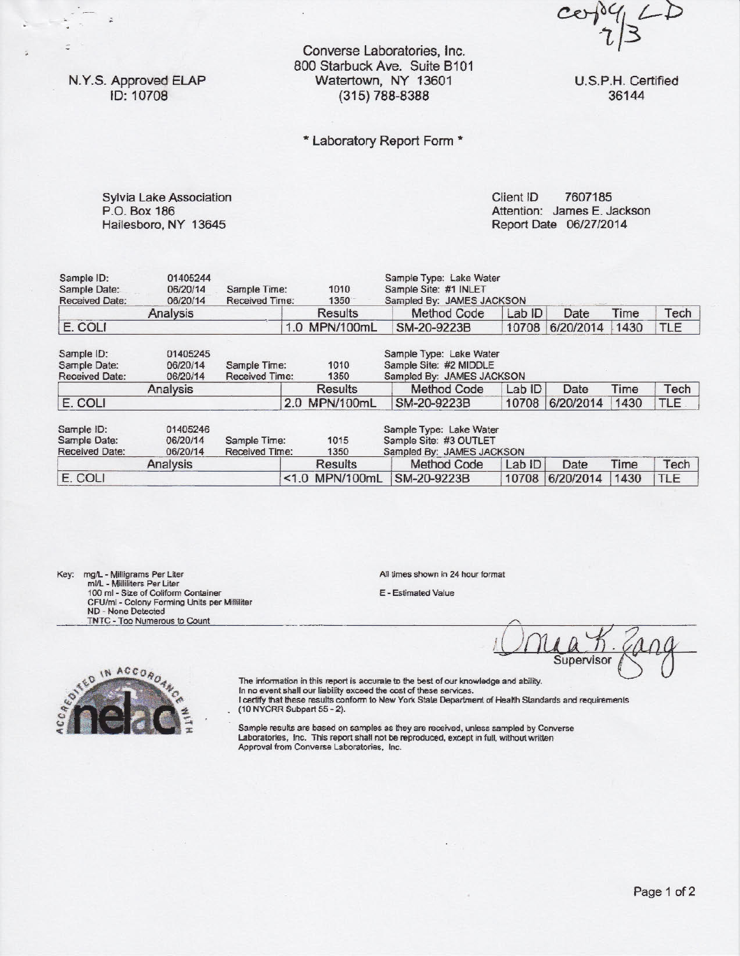$\delta$ 4  $LD$  $c\mathfrak{o}$ 

U.S.P.H. Certified 36144

N.Y.S. Approved ELAP ID: 10708

;

 $\overline{\phantom{a}}$ 

Converse Laboratories, Inc. 800 Starbuck Ave. Suite 8101 Watertown, NY 13601 (315) 788-8388

## \* Laboratory Report Form \*

Sylvia Lake Association P.O. Box 186 Hailesboro, NY 13645

Client ID 7607185 Attention: James E. Jackson Report Date 06/2712014

| Sample ID:<br>Sample Date:<br><b>Received Date:</b> | 01405244<br>06/20/14<br>06/20/14 | 1010<br>Sample Time:<br>Received Time:<br>1350 |     | Sample Type: Lake Water<br>Sample Site: #1 INLET<br>Sampled By: JAMES JACKSON |                                                                                |        |           |      |            |
|-----------------------------------------------------|----------------------------------|------------------------------------------------|-----|-------------------------------------------------------------------------------|--------------------------------------------------------------------------------|--------|-----------|------|------------|
|                                                     | Analysis                         |                                                |     | Results                                                                       | Method Code                                                                    | Lab ID | Date      | Time | Tech       |
| E. COLI                                             |                                  |                                                |     | 1.0 MPN/100mL                                                                 | SM-20-9223B                                                                    | 10708  | 6/20/2014 | 1430 | <b>TLE</b> |
| Sample ID:<br>Sample Date:<br><b>Received Date:</b> | 01405245<br>06/20/14<br>06/20/14 | Sample Time:<br>Received Time:                 |     | 1010<br>1350                                                                  | Sample Type: Leke Water<br>Sample Site: #2 MIDDLE<br>Sampled By: JAMES JACKSON |        |           |      |            |
|                                                     | Analysis                         |                                                |     | <b>Results</b>                                                                | Method Code                                                                    | Lab ID | Date      | Time | Tech       |
| E. COLI                                             |                                  |                                                | 2.0 | MPN/100mL                                                                     | SM-20-9223B                                                                    | 10708  | 6/20/2014 | 1430 | <b>TLE</b> |
| Sample ID:<br>Sample Date:<br><b>Received Date:</b> | 01405246<br>06/20/14<br>06/20/14 | Sample Time:<br>Received Time:                 |     | 1015<br>1350                                                                  | Sample Type: Lake Water<br>Sample Site: #3 OUTLET<br>Sampled By: JAMES JACKSON |        |           |      |            |
|                                                     | Analysis                         |                                                |     | Results                                                                       | Method Code                                                                    | Lab ID | Date      | Time | Tech       |
| E. COLI                                             |                                  |                                                |     | <1.0 MPN/100mL                                                                | SM-20-9223B                                                                    | 10708  | 6/20/2014 | 1430 | <b>TLE</b> |

Key: mg/L - Milligrams Per Liter ml/L - Milliliters Per Liter 100 ml - Size of Coliform Container CFU/ml - Colony Forming Units per Milliliter ND - None Detected TNTC - Too Numerous to Count .

All times shown in 24 hour format

E - Estimated Value

Supervisor



The information in this report is accurate to the best of our knowledge and ability. In no event shall our liability exceed the cost of these services.

t certify that these results conform to New York State Department of Health Standards and requirements {10 NYCRR Subpart 55 - 2}.

Sample results are based on samples as they are received, unless sampled by Converse Laboratories, Inc. This report shall not be reproduced, except in full, without written Approval from Converse Laboratories, Inc.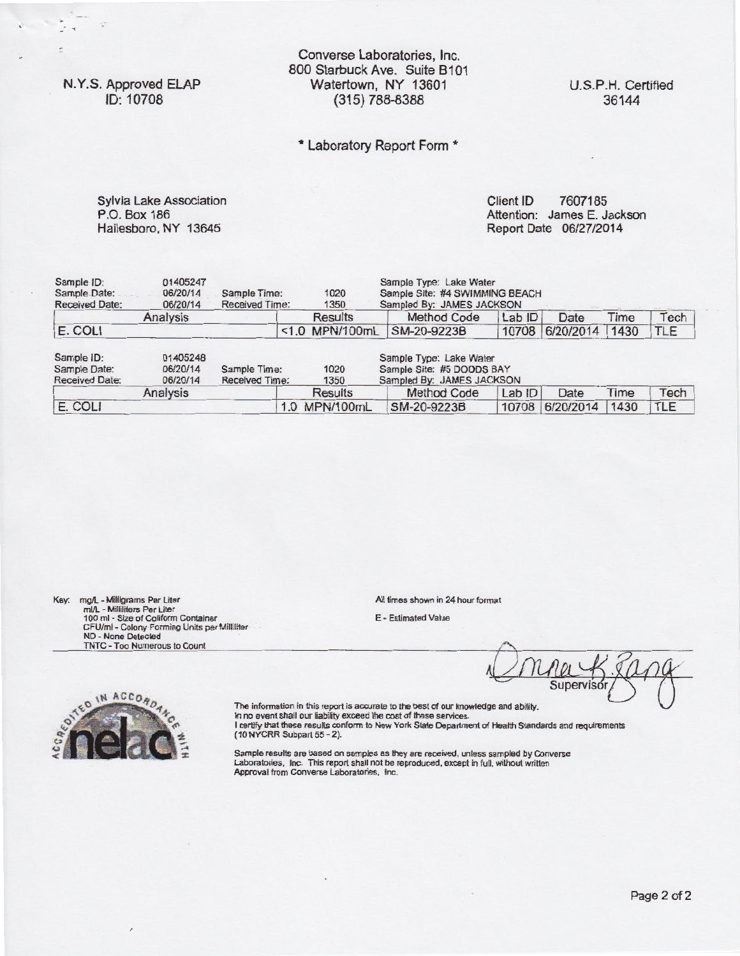N. Y.S. Approved ELAP ID: 10708

Converse Laboratories, Inc. 800 Starbuck Ave. Suite 8101 Watertown, NY 13601 (315) 788-8388

U.S.P.H. Certified 36144

## \* Laboratory Report Form \*

Sylvia Lake Association Client ID 7607185 P.O. Box 186 Hailesboro, NY 13645

Attention: James E. Jackson Report Date 06/27/2014

| Sample ID:<br>Sample Date:<br>Received Date:        | 01405247<br>06/20/14<br>06/20/14 | Sample Time:<br>Received Time: |                | 1020<br>1350   | Sample Type: Lake Water<br>Sample Site: #4 SWIMMING BEACH<br>Sampled By: JAMES JACKSON |        |           |      |            |  |
|-----------------------------------------------------|----------------------------------|--------------------------------|----------------|----------------|----------------------------------------------------------------------------------------|--------|-----------|------|------------|--|
|                                                     | Analysis                         |                                |                | <b>Results</b> | Method Code                                                                            | Lab ID | Date      | Time | Tech       |  |
| E. COLI                                             |                                  |                                | <1.0 MPN/100mL |                | SM-20-9223B                                                                            | 10708  | 6/20/2014 | 1430 | <b>TLE</b> |  |
| Sample ID:<br>Sample Date:<br><b>Received Date:</b> | 01405248<br>06/20/14<br>06/20/14 | Sample Time:<br>Received Time: |                | 1020<br>1350   | Sample Type: Lake Water<br>Sample Site: #5 DOODS BAY<br>Sampled By: JAMES JACKSON      |        |           |      |            |  |
|                                                     | Analysis                         |                                |                | <b>Results</b> | Method Code                                                                            | Lab ID | Date      | Time | Tech       |  |
| E. COLI                                             |                                  |                                | 1.0 MPN/100mL  |                | SM-20-9223B                                                                            | 10708  | 6/20/2014 | 1430 | TLE        |  |

Key: mgA. - Milligrams Per Liter mVL - Milliliters Per Liter<br>100 ml - Size of Coliform Container<br>CFU/ml - Colony Forming Units per Milliliter<br>ND - None Detected<br>TNTC - Too Numerous to Count

IN ACCORD

All times shown in 24 hour format

E - Estimated Value

Supervisd

The information in this report is accurate to the best of our knowledge and ability. In no event shall our liability exceed the cost of these services. I certify that these results conform to New York State Department of Health Standards and requirements (10 NYCRR Subpart 55 - 2).

Sample results are based on samples as they are received, unless sampled by Converse Laboratories, Inc. This report shall not be reproduced, except in full, without written Approval from Converse Laboratories, Inc.